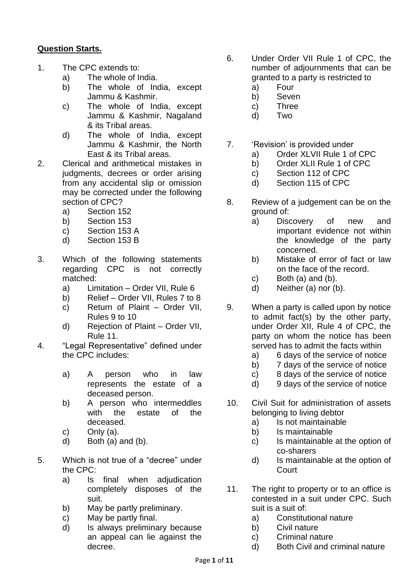## **Question Starts.**

- 1. The CPC extends to:
	- a) The whole of India.
	- b) The whole of India, except Jammu & Kashmir.
	- c) The whole of India, except Jammu & Kashmir, Nagaland & its Tribal areas.
	- d) The whole of India, except Jammu & Kashmir, the North East & its Tribal areas.
- 2. Clerical and arithmetical mistakes in judgments, decrees or order arising from any accidental slip or omission may be corrected under the following section of CPC?
	- a) Section 152
	- b) Section 153
	- c) Section 153 A
	- d) Section 153 B
- 3. Which of the following statements regarding CPC is not correctly matched:
	- a) Limitation Order VII, Rule 6
	- b) Relief Order VII, Rules 7 to 8
	- c) Return of Plaint Order VII, Rules 9 to 10
	- d) Rejection of Plaint Order VII, Rule 11.
- 4. "Legal Representative" defined under the CPC includes:
	- a) A person who in law represents the estate of a deceased person.
	- b) A person who intermeddles with the estate of the deceased.
	- c) Only  $(a)$ .
	- d) Both (a) and (b).
- 5. Which is not true of a "decree" under the CPC:
	- a) Is final when adjudication completely disposes of the suit.
	- b) May be partly preliminary.
	- c) May be partly final.
	- d) Is always preliminary because an appeal can lie against the decree.
- 6. Under Order VII Rule 1 of CPC, the number of adjournments that can be granted to a party is restricted to
	- a) Four
	- b) Seven
	- c) Three
	- d) Two
- 7. 'Revision' is provided under
	- a) Order XLVII Rule 1 of CPC
	- b) Order XLII Rule 1 of CPC
	- c) Section 112 of CPC
	- d) Section 115 of CPC
- 8. Review of a judgement can be on the ground of:
	- a) Discovery of new and important evidence not within the knowledge of the party concerned.
	- b) Mistake of error of fact or law on the face of the record.
	- c) Both (a) and (b).
	- d) Neither (a) nor (b).
- 9. When a party is called upon by notice to admit fact(s) by the other party, under Order XII, Rule 4 of CPC, the party on whom the notice has been served has to admit the facts within
	- a) 6 days of the service of notice
	- b) 7 days of the service of notice
	- c) 8 days of the service of notice
	- d) 9 days of the service of notice
- 10. Civil Suit for administration of assets belonging to living debtor
	- a) Is not maintainable
	- b) Is maintainable
	- c) Is maintainable at the option of co-sharers
	- d) Is maintainable at the option of Court
- 11. The right to property or to an office is contested in a suit under CPC. Such suit is a suit of:
	- a) Constitutional nature
	- b) Civil nature
	- c) Criminal nature
	- d) Both Civil and criminal nature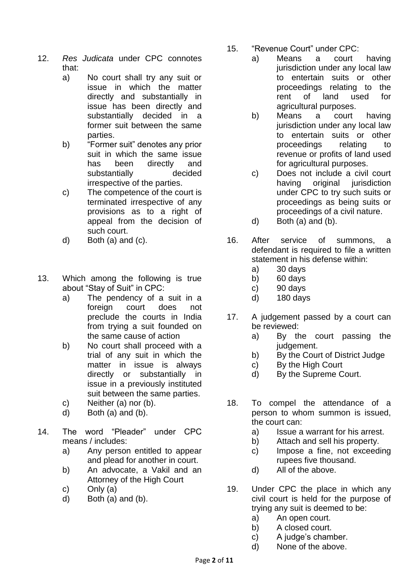- 12. *Res Judicata* under CPC connotes that:
	- a) No court shall try any suit or issue in which the matter directly and substantially in issue has been directly and substantially decided in a former suit between the same parties.
	- b) "Former suit" denotes any prior suit in which the same issue has been directly and substantially decided irrespective of the parties.
	- c) The competence of the court is terminated irrespective of any provisions as to a right of appeal from the decision of such court.
	- d) Both (a) and (c).
- 13. Which among the following is true about "Stay of Suit" in CPC:
	- a) The pendency of a suit in a foreign court does not preclude the courts in India from trying a suit founded on the same cause of action
	- b) No court shall proceed with a trial of any suit in which the matter in issue is always directly or substantially in issue in a previously instituted suit between the same parties.
	- c) Neither (a) nor (b).
	- d) Both (a) and (b).
- 14. The word "Pleader" under CPC means / includes:
	- a) Any person entitled to appear and plead for another in court.
	- b) An advocate, a Vakil and an Attorney of the High Court
	- c) Only (a)
	- d) Both (a) and (b).
- 15. "Revenue Court" under CPC:
	- a) Means a court having jurisdiction under any local law to entertain suits or other proceedings relating to the rent of land used for agricultural purposes.
	- b) Means a court having jurisdiction under any local law to entertain suits or other proceedings relating to revenue or profits of land used for agricultural purposes.
	- c) Does not include a civil court having original jurisdiction under CPC to try such suits or proceedings as being suits or proceedings of a civil nature.
	- d) Both (a) and (b).
- 16. After service of summons, a defendant is required to file a written statement in his defense within:
	- a) 30 days
	- b) 60 days
	- c) 90 days
	- d) 180 days
- 17. A judgement passed by a court can be reviewed:
	- a) By the court passing the judgement.
	- b) By the Court of District Judge
	- c) By the High Court
	- d) By the Supreme Court.
- 18. To compel the attendance of a person to whom summon is issued, the court can:
	- a) Issue a warrant for his arrest.
	- b) Attach and sell his property.
	- c) Impose a fine, not exceeding rupees five thousand.
	- d) All of the above.
- 19. Under CPC the place in which any civil court is held for the purpose of trying any suit is deemed to be:
	- a) An open court.
	- b) A closed court.
	- c) A judge's chamber.
	- d) None of the above.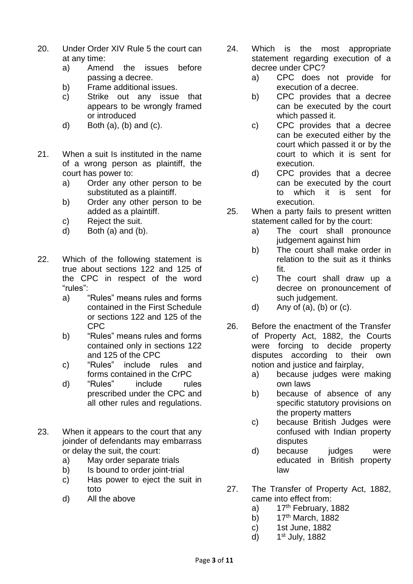- 20. Under Order XIV Rule 5 the court can at any time:
	- a) Amend the issues before passing a decree.
	- b) Frame additional issues.
	- c) Strike out any issue that appears to be wrongly framed or introduced
	- d) Both  $(a)$ ,  $(b)$  and  $(c)$ .
- 21. When a suit Is instituted in the name of a wrong person as plaintiff, the court has power to:
	- a) Order any other person to be substituted as a plaintiff.
	- b) Order any other person to be added as a plaintiff.
	- c) Reject the suit.
	- d) Both (a) and (b).
- 22. Which of the following statement is true about sections 122 and 125 of the CPC in respect of the word "rules":
	- a) "Rules" means rules and forms contained in the First Schedule or sections 122 and 125 of the CPC
	- b) "Rules" means rules and forms contained only in sections 122 and 125 of the CPC
	- c) "Rules" include rules and forms contained in the CrPC
	- d) "Rules" include rules prescribed under the CPC and all other rules and regulations.
- 23. When it appears to the court that any joinder of defendants may embarrass or delay the suit, the court:
	- a) May order separate trials
	- b) Is bound to order joint-trial
	- c) Has power to eject the suit in toto
	- d) All the above
- 24. Which is the most appropriate statement regarding execution of a decree under CPC?
	- a) CPC does not provide for execution of a decree.
	- b) CPC provides that a decree can be executed by the court which passed it.
	- c) CPC provides that a decree can be executed either by the court which passed it or by the court to which it is sent for execution.
	- d) CPC provides that a decree can be executed by the court to which it is sent for execution.
- 25. When a party fails to present written statement called for by the court:
	- a) The court shall pronounce judgement against him
	- b) The court shall make order in relation to the suit as it thinks fit.
	- c) The court shall draw up a decree on pronouncement of such judgement.
	- d) Any of  $(a)$ ,  $(b)$  or  $(c)$ .
- 26. Before the enactment of the Transfer of Property Act, 1882, the Courts were forcing to decide property disputes according to their own notion and justice and fairplay,
	- a) because judges were making own laws
	- b) because of absence of any specific statutory provisions on the property matters
	- c) because British Judges were confused with Indian property disputes
	- d) because judges were educated in British property law
- 27. The Transfer of Property Act, 1882, came into effect from:
	- a)  $17<sup>th</sup>$  February, 1882
	- b)  $17<sup>th</sup>$  March, 1882
	- c) 1st June, 1882
	- d) 1 1st July, 1882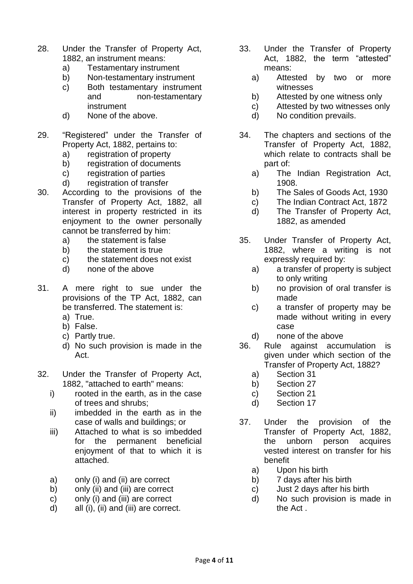- 28. Under the Transfer of Property Act, 1882, an instrument means:
	- a) Testamentary instrument
	- b) Non-testamentary instrument
	- c) Both testamentary instrument and non-testamentary instrument
	- d) None of the above.
- 29. "Registered" under the Transfer of Property Act, 1882, pertains to:
	- a) registration of property
	- b) registration of documents
	- c) registration of parties
	- d) registration of transfer
- 30. According to the provisions of the Transfer of Property Act, 1882, all interest in property restricted in its enjoyment to the owner personally cannot be transferred by him:
	- a) the statement is false
	- b) the statement is true
	- c) the statement does not exist
	- d) none of the above
- 31. A mere right to sue under the provisions of the TP Act, 1882, can be transferred. The statement is:
	- a) True.
	- b) False.
	- c) Partly true.
	- d) No such provision is made in the Act.
- 32. Under the Transfer of Property Act, 1882, "attached to earth" means:
	- i) rooted in the earth, as in the case of trees and shrubs;
	- ii) imbedded in the earth as in the case of walls and buildings; or
	- iii) Attached to what is so imbedded for the permanent beneficial enjoyment of that to which it is attached.
	- a) only (i) and (ii) are correct
	- b) only (ii) and (iii) are correct
	- c) only (i) and (iii) are correct
	- d) all (i), (ii) and (iii) are correct.
- 33. Under the Transfer of Property Act. 1882. the term "attested" means:
	- a) Attested by two or more witnesses
	- b) Attested by one witness only
	- c) Attested by two witnesses only
	- d) No condition prevails.
- 34. The chapters and sections of the Transfer of Property Act, 1882, which relate to contracts shall be part of:
	- a) The Indian Registration Act, 1908.
	- b) The Sales of Goods Act, 1930
	- c) The Indian Contract Act, 1872
	- d) The Transfer of Property Act, 1882, as amended
- 35. Under Transfer of Property Act, 1882, where a writing is not expressly required by:
	- a) a transfer of property is subject to only writing
	- b) no provision of oral transfer is made
	- c) a transfer of property may be made without writing in every case
	- d) none of the above
- 36. Rule against accumulation is given under which section of the Transfer of Property Act, 1882?
	- a) Section 31
	- b) Section 27
	- c) Section 21
	- d) Section 17
- 37. Under the provision of the Transfer of Property Act, 1882, the unborn person acquires vested interest on transfer for his benefit
	- a) Upon his birth
	- b) 7 days after his birth
	- c) Just 2 days after his birth
	- d) No such provision is made in the Act .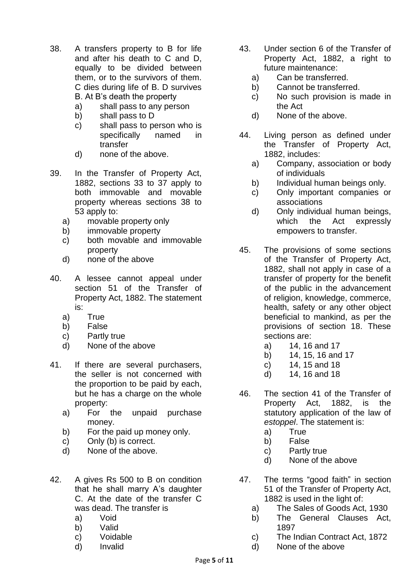- 38. A transfers property to B for life and after his death to C and D, equally to be divided between them, or to the survivors of them. C dies during life of B. D survives B. At B's death the property
	- a) shall pass to any person
	- b) shall pass to D
	- c) shall pass to person who is specifically named in transfer
	- d) none of the above.
- 39. In the Transfer of Property Act, 1882, sections 33 to 37 apply to both immovable and movable property whereas sections 38 to 53 apply to:
	- a) movable property only
	- b) immovable property
	- c) both movable and immovable property
	- d) none of the above
- 40. A lessee cannot appeal under section 51 of the Transfer of Property Act, 1882. The statement is:
	- a) True
	- b) False
	- c) Partly true
	- d) None of the above
- 41. If there are several purchasers, the seller is not concerned with the proportion to be paid by each, but he has a charge on the whole property:
	- a) For the unpaid purchase money.
	- b) For the paid up money only.
	- c) Only (b) is correct.
	- d) None of the above.
- 42. A gives Rs 500 to B on condition that he shall marry A's daughter C. At the date of the transfer C was dead. The transfer is
	- a) Void
	- b) Valid
	- c) Voidable
	- d) Invalid
- 43. Under section 6 of the Transfer of Property Act, 1882, a right to future maintenance:
	- a) Can be transferred.
	- b) Cannot be transferred.
	- c) No such provision is made in the Act
	- d) None of the above.
- 44. Living person as defined under the Transfer of Property Act, 1882, includes:
	- a) Company, association or body of individuals
	- b) Individual human beings only.
	- c) Only important companies or associations
	- d) Only individual human beings, which the Act expressly empowers to transfer.
- 45. The provisions of some sections of the Transfer of Property Act, 1882, shall not apply in case of a transfer of property for the benefit of the public in the advancement of religion, knowledge, commerce, health, safety or any other object beneficial to mankind, as per the provisions of section 18. These sections are:
	- a) 14, 16 and 17
	- b) 14, 15, 16 and 17
	- c) 14, 15 and 18
	- d) 14, 16 and 18
- 46. The section 41 of the Transfer of Property Act, 1882, is the statutory application of the law of *estoppel*. The statement is:
	- a) True
	- b) False
	- c) Partly true
	- d) None of the above
- 47. The terms "good faith" in section 51 of the Transfer of Property Act, 1882 is used in the light of:
	- a) The Sales of Goods Act, 1930
	- b) The General Clauses Act, 1897
	- c) The Indian Contract Act, 1872
	- d) None of the above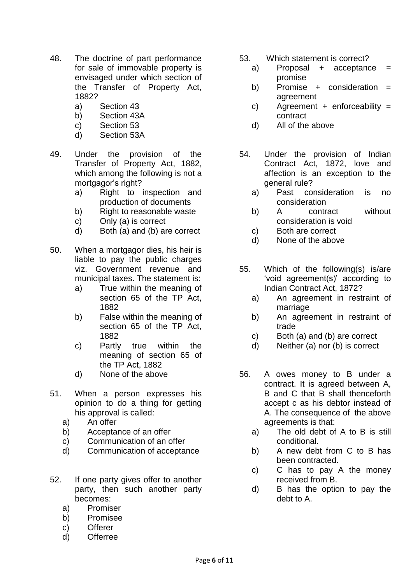- 48. The doctrine of part performance for sale of immovable property is envisaged under which section of the Transfer of Property Act, 1882?
	- a) Section 43
	- b) Section 43A
	- c) Section 53
	- d) Section 53A
- 49. Under the provision of the Transfer of Property Act, 1882, which among the following is not a mortgagor's right?
	- a) Right to inspection and production of documents
	- b) Right to reasonable waste
	- c) Only (a) is correct
	- d) Both (a) and (b) are correct
- 50. When a mortgagor dies, his heir is liable to pay the public charges viz. Government revenue and municipal taxes. The statement is:
	- a) True within the meaning of section 65 of the TP Act, 1882
	- b) False within the meaning of section 65 of the TP Act, 1882
	- c) Partly true within the meaning of section 65 of the TP Act, 1882
	- d) None of the above
- 51. When a person expresses his opinion to do a thing for getting his approval is called:
	- a) An offer
	- b) Acceptance of an offer
	- c) Communication of an offer
	- d) Communication of acceptance
- 52. If one party gives offer to another party, then such another party becomes:
	- a) Promiser
	- b) Promisee
	- c) Offerer
	- d) Offerree
- 53. Which statement is correct?
	- a) Proposal + acceptance = promise
	- b) Promise + consideration = agreement
	- c) Agreement + enforceability = contract
	- d) All of the above
- 54. Under the provision of Indian Contract Act, 1872, love and affection is an exception to the general rule?
	- a) Past consideration is no consideration
	- b) A contract without consideration is void
	- c) Both are correct
	- d) None of the above
- 55. Which of the following(s) is/are 'void agreement(s)' according to Indian Contract Act, 1872?
	- a) An agreement in restraint of marriage
	- b) An agreement in restraint of trade
	- c) Both (a) and (b) are correct
	- d) Neither (a) nor (b) is correct
- 56. A owes money to B under a contract. It is agreed between A, B and C that B shall thenceforth accept c as his debtor instead of A. The consequence of the above agreements is that:
	- a) The old debt of A to B is still conditional.
	- b) A new debt from C to B has been contracted.
	- c) C has to pay A the money received from B.
	- d) B has the option to pay the debt to A.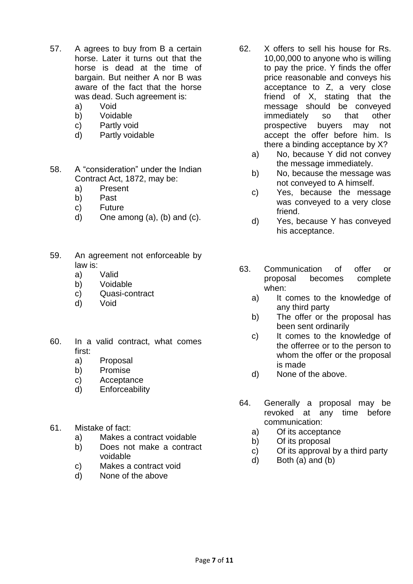- 57. A agrees to buy from B a certain horse. Later it turns out that the horse is dead at the time of bargain. But neither A nor B was aware of the fact that the horse was dead. Such agreement is:
	- a) Void
	- b) Voidable
	- c) Partly void
	- d) Partly voidable

58. A "consideration" under the Indian Contract Act, 1872, may be:

- a) Present
- b) Past
- c) Future
- d) One among  $(a)$ ,  $(b)$  and  $(c)$ .
- 59. An agreement not enforceable by law is:
	- a) Valid
	- b) Voidable
	- c) Quasi-contract
	- d) Void
- 60. In a valid contract, what comes first:
	- a) Proposal
	- b) Promise
	- c) Acceptance
	- d) Enforceability
- 61. Mistake of fact:
	- a) Makes a contract voidable
	- b) Does not make a contract voidable
	- c) Makes a contract void
	- d) None of the above
- 62. X offers to sell his house for Rs. 10,00,000 to anyone who is willing to pay the price. Y finds the offer price reasonable and conveys his acceptance to Z, a very close friend of X, stating that the message should be conveyed immediately so that other prospective buyers may not accept the offer before him. Is there a binding acceptance by X?
	- a) No, because Y did not convey the message immediately.
	- b) No, because the message was not conveyed to A himself.
	- c) Yes, because the message was conveyed to a very close friend.
	- d) Yes, because Y has conveyed his acceptance.
- 63. Communication of offer or proposal becomes complete when:
	- a) It comes to the knowledge of any third party
	- b) The offer or the proposal has been sent ordinarily
	- c) It comes to the knowledge of the offerree or to the person to whom the offer or the proposal is made
	- d) None of the above.
- 64. Generally a proposal may be revoked at any time before communication:
	- a) Of its acceptance
	- b) Of its proposal
	- c) Of its approval by a third party
	- d) Both (a) and (b)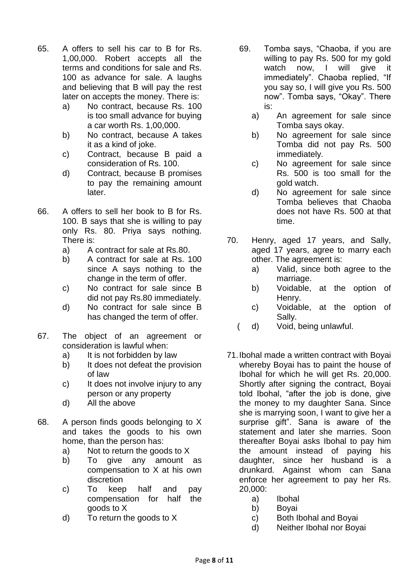- 65. A offers to sell his car to B for Rs. 1,00,000. Robert accepts all the terms and conditions for sale and Rs. 100 as advance for sale. A laughs and believing that B will pay the rest later on accepts the money. There is:
	- a) No contract, because Rs. 100 is too small advance for buying a car worth Rs. 1,00,000.
	- b) No contract, because A takes it as a kind of joke.
	- c) Contract, because B paid a consideration of Rs. 100.
	- d) Contract, because B promises to pay the remaining amount later.
- 66. A offers to sell her book to B for Rs. 100. B says that she is willing to pay only Rs. 80. Priya says nothing. There is:
	- a) A contract for sale at Rs.80.
	- b) A contract for sale at Rs. 100 since A says nothing to the change in the term of offer.
	- c) No contract for sale since B did not pay Rs.80 immediately.
	- d) No contract for sale since B has changed the term of offer.
- 67. The object of an agreement or consideration is lawful when:
	- a) It is not forbidden by law
	- b) It does not defeat the provision of law
	- c) It does not involve injury to any person or any property
	- d) All the above
- 68. A person finds goods belonging to X and takes the goods to his own home, than the person has:
	- a) Not to return the goods to X
	- b) To give any amount as compensation to X at his own discretion
	- c) To keep half and pay compensation for half the goods to X
	- d) To return the goods to X
- 69. Tomba says, "Chaoba, if you are willing to pay Rs. 500 for my gold watch now. I will give it immediately". Chaoba replied, "If you say so, I will give you Rs. 500 now". Tomba says, "Okay". There is:
	- a) An agreement for sale since Tomba says okay.
	- b) No agreement for sale since Tomba did not pay Rs. 500 immediately.
	- c) No agreement for sale since Rs. 500 is too small for the gold watch.
	- d) No agreement for sale since Tomba believes that Chaoba does not have Rs. 500 at that time.
- 70. Henry, aged 17 years, and Sally, aged 17 years, agree to marry each other. The agreement is:
	- a) Valid, since both agree to the marriage.
	- b) Voidable, at the option of Henry.
	- c) Voidable, at the option of Sally.
	- ( d) Void, being unlawful.
- 71.Ibohal made a written contract with Boyai whereby Boyai has to paint the house of Ibohal for which he will get Rs. 20,000. Shortly after signing the contract, Boyai told Ibohal, "after the job is done, give the money to my daughter Sana. Since she is marrying soon, I want to give her a surprise gift". Sana is aware of the statement and later she marries. Soon thereafter Boyai asks Ibohal to pay him the amount instead of paying his daughter, since her husband is a drunkard. Against whom can Sana enforce her agreement to pay her Rs. 20,000:
	- a) Ibohal
	- b) Boyai
	- c) Both Ibohal and Boyai
	- d) Neither Ibohal nor Boyai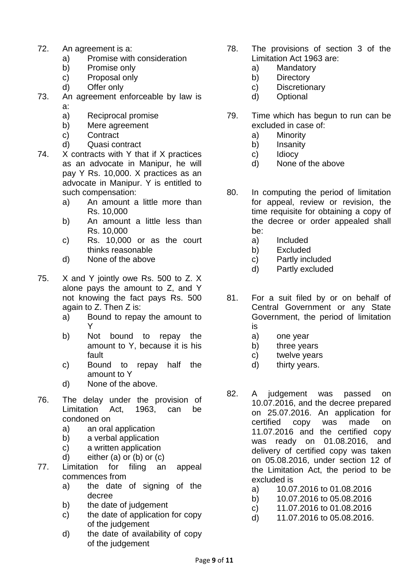- 72. An agreement is a:
	- a) Promise with consideration
	- b) Promise only
	- c) Proposal only
	- d) Offer only
- 73. An agreement enforceable by law is
	- a:
	- a) Reciprocal promise
	- b) Mere agreement
	- c) Contract
	- d) Quasi contract
- 74. X contracts with Y that if X practices as an advocate in Manipur, he will pay Y Rs. 10,000. X practices as an advocate in Manipur. Y is entitled to such compensation:
	- a) An amount a little more than Rs. 10,000
	- b) An amount a little less than Rs. 10,000
	- c) Rs. 10,000 or as the court thinks reasonable
	- d) None of the above
- 75. X and Y jointly owe Rs. 500 to Z. X alone pays the amount to Z, and Y not knowing the fact pays Rs. 500 again to Z. Then Z is:
	- a) Bound to repay the amount to Y
	- b) Not bound to repay the amount to Y, because it is his fault
	- c) Bound to repay half the amount to Y
	- d) None of the above.
- 76. The delay under the provision of Limitation Act, 1963, can be condoned on
	- a) an oral application
	- b) a verbal application
	- c) a written application
	- d) either (a) or (b) or (c)
- 77. Limitation for filing an appeal commences from
	- a) the date of signing of the decree
	- b) the date of judgement
	- c) the date of application for copy of the judgement
	- d) the date of availability of copy of the judgement
- 78. The provisions of section 3 of the Limitation Act 1963 are:
	- a) Mandatory
	- b) Directory
	- c) Discretionary
	- d) Optional
- 79. Time which has begun to run can be excluded in case of:
	- a) Minority
	- b) Insanity
	- c) Idiocy
	- d) None of the above
- 80. In computing the period of limitation for appeal, review or revision, the time requisite for obtaining a copy of the decree or order appealed shall be:
	- a) Included
	- b) Excluded
	- c) Partly included
	- d) Partly excluded
- 81. For a suit filed by or on behalf of Central Government or any State Government, the period of limitation is
	- a) one year
	- b) three years
	- c) twelve years
	- d) thirty years.
- 82. A judgement was passed on 10.07.2016, and the decree prepared on 25.07.2016. An application for certified copy was made on 11.07.2016 and the certified copy was ready on 01.08.2016, and delivery of certified copy was taken on 05.08.2016, under section 12 of the Limitation Act, the period to be excluded is
	- a) 10.07.2016 to 01.08.2016
	- b) 10.07.2016 to 05.08.2016
	- c) 11.07.2016 to 01.08.2016
	- d) 11.07.2016 to 05.08.2016.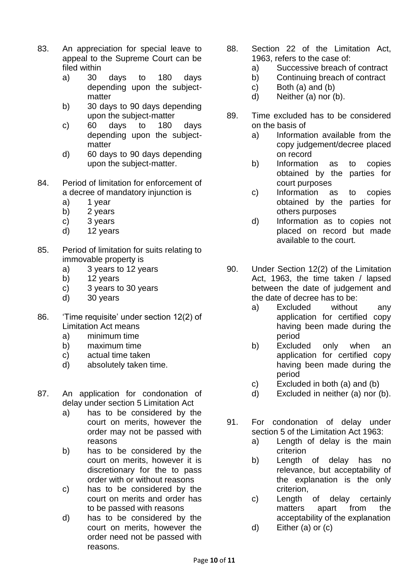- 83. An appreciation for special leave to appeal to the Supreme Court can be filed within
	- a) 30 days to 180 days depending upon the subjectmatter
	- b) 30 days to 90 days depending upon the subject-matter
	- c) 60 days to 180 days depending upon the subjectmatter
	- d) 60 days to 90 days depending upon the subject-matter.
- 84. Period of limitation for enforcement of a decree of mandatory injunction is
	- a) 1 year
	- b) 2 years
	- c) 3 years
	- d) 12 years
- 85. Period of limitation for suits relating to immovable property is
	- a) 3 years to 12 years
	- b) 12 years
	- c) 3 years to 30 years
	- d) 30 years
- 86. 'Time requisite' under section 12(2) of Limitation Act means
	- a) minimum time
	- b) maximum time
	- c) actual time taken
	- d) absolutely taken time.
- 87. An application for condonation of delay under section 5 Limitation Act
	- a) has to be considered by the court on merits, however the order may not be passed with reasons
	- b) has to be considered by the court on merits, however it is discretionary for the to pass order with or without reasons
	- c) has to be considered by the court on merits and order has to be passed with reasons
	- d) has to be considered by the court on merits, however the order need not be passed with reasons.
- 88. Section 22 of the Limitation Act, 1963, refers to the case of:
	- a) Successive breach of contract
	- b) Continuing breach of contract
	- c) Both (a) and (b)
	- d) Neither (a) nor (b).
- 89. Time excluded has to be considered on the basis of
	- a) Information available from the copy judgement/decree placed on record
	- b) Information as to copies obtained by the parties for court purposes
	- c) Information as to copies obtained by the parties for others purposes
	- d) Information as to copies not placed on record but made available to the court.
- 90. Under Section 12(2) of the Limitation Act, 1963, the time taken / lapsed between the date of judgement and the date of decree has to be:
	- a) Excluded without any application for certified copy having been made during the period
	- b) Excluded only when an application for certified copy having been made during the period
	- c) Excluded in both (a) and (b)
	- d) Excluded in neither (a) nor (b).
- 91. For condonation of delay under section 5 of the Limitation Act 1963:
	- a) Length of delay is the main criterion
	- b) Length of delay has no relevance, but acceptability of the explanation is the only criterion,
	- c) Length of delay certainly matters apart from the acceptability of the explanation
	- d) Either (a) or (c)